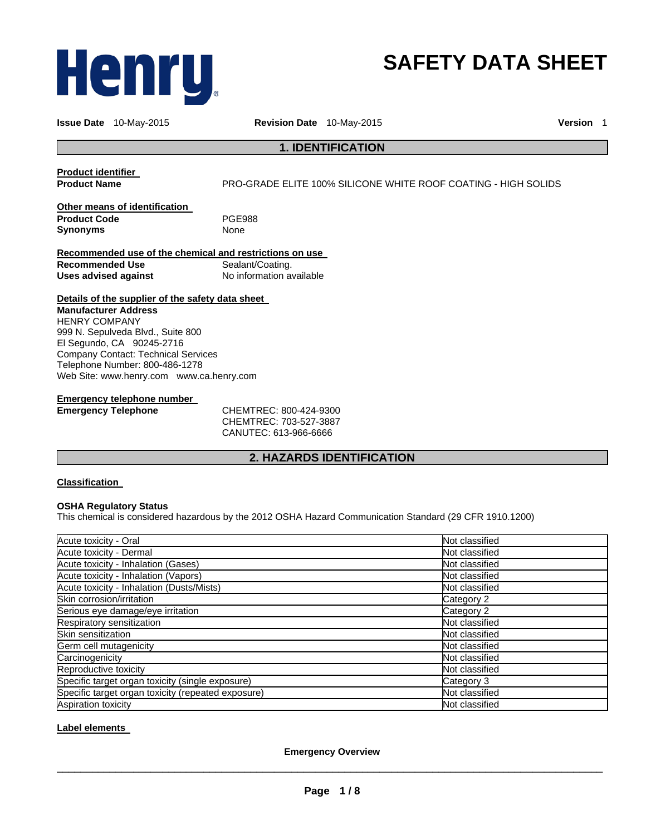

# **SAFETY DATA SHEET**

**Issue Date** 10-May-2015 **Revision Date** 10-May-2015 **Version** 1

## **1. IDENTIFICATION**

**Product identifier** 

**Product Name** PRO-GRADE ELITE 100% SILICONE WHITE ROOF COATING - HIGH SOLIDS

**Other means of identification Product Code** PGE988 **Synonyms** 

**Recommended use of the chemical and restrictions on use Recommended Use 6 Channel Sealant/Coating.<br>
<b>Uses advised against** 6 No information ave **Uses advised against** No information available

**Details of the supplier of the safety data sheet Manufacturer Address** HENRY COMPANY 999 N. Sepulveda Blvd., Suite 800

El Segundo, CA 90245-2716 Company Contact: Technical Services Telephone Number: 800-486-1278 Web Site: www.henry.com www.ca.henry.com

## **Emergency telephone number**

**Emergency Telephone** CHEMTREC: 800-424-9300 CHEMTREC: 703-527-3887 CANUTEC: 613-966-6666

## **2. HAZARDS IDENTIFICATION**

## **Classification**

#### **OSHA Regulatory Status**

This chemical is considered hazardous by the 2012 OSHA Hazard Communication Standard (29 CFR 1910.1200)

| Acute toxicity - Oral                              | Not classified |
|----------------------------------------------------|----------------|
| Acute toxicity - Dermal                            | Not classified |
| Acute toxicity - Inhalation (Gases)                | Not classified |
| Acute toxicity - Inhalation (Vapors)               | Not classified |
| Acute toxicity - Inhalation (Dusts/Mists)          | Not classified |
| Skin corrosion/irritation                          | Category 2     |
| Serious eye damage/eye irritation                  | Category 2     |
| Respiratory sensitization                          | Not classified |
| Skin sensitization                                 | Not classified |
| Germ cell mutagenicity                             | Not classified |
| Carcinogenicity                                    | Not classified |
| Reproductive toxicity                              | Not classified |
| Specific target organ toxicity (single exposure)   | Category 3     |
| Specific target organ toxicity (repeated exposure) | Not classified |
| Aspiration toxicity                                | Not classified |

## **Label elements**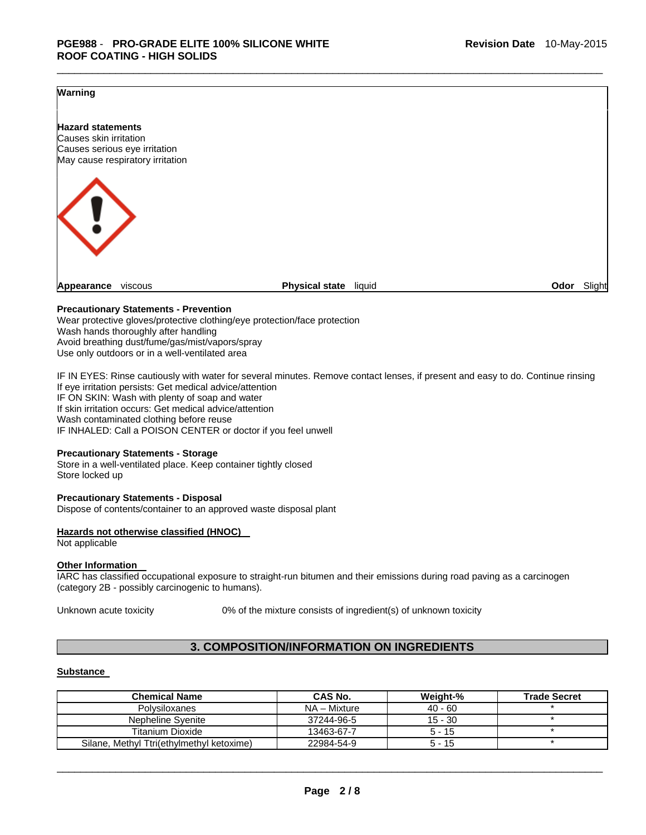## **Warning**



 $\overline{\phantom{a}}$  , and the set of the set of the set of the set of the set of the set of the set of the set of the set of the set of the set of the set of the set of the set of the set of the set of the set of the set of the s

## **Precautionary Statements - Prevention**

Wear protective gloves/protective clothing/eye protection/face protection Wash hands thoroughly after handling Avoid breathing dust/fume/gas/mist/vapors/spray Use only outdoors or in a well-ventilated area

IF IN EYES: Rinse cautiously with water for several minutes. Remove contact lenses, if present and easy to do. Continue rinsing If eye irritation persists: Get medical advice/attention IF ON SKIN: Wash with plenty of soap and water If skin irritation occurs: Get medical advice/attention Wash contaminated clothing before reuse IF INHALED: Call a POISON CENTER or doctor if you feel unwell

#### **Precautionary Statements - Storage**

Store in a well-ventilated place. Keep container tightly closed Store locked up

#### **Precautionary Statements - Disposal**

Dispose of contents/container to an approved waste disposal plant

#### **Hazards not otherwise classified (HNOC)**

Not applicable

#### **Other Information**

IARC has classified occupational exposure to straight-run bitumen and their emissions during road paving as a carcinogen (category 2B - possibly carcinogenic to humans).

Unknown acute toxicity 0% of the mixture consists of ingredient(s) of unknown toxicity

## **3. COMPOSITION/INFORMATION ON INGREDIENTS**

## **Substance**

| <b>Chemical Name</b>                      | CAS No.      | Weight-%  | <b>Trade Secret</b> |
|-------------------------------------------|--------------|-----------|---------------------|
| Polvsiloxanes                             | NA – Mixture | $40 - 60$ |                     |
| Nepheline Syenite                         | 37244-96-5   | 15 - 30   |                     |
| <b>Titanium Dioxide</b>                   | 13463-67-7   | $5 - 15$  |                     |
| Silane, Methyl Ttri(ethylmethyl ketoxime) | 22984-54-9   | $5 - 15$  |                     |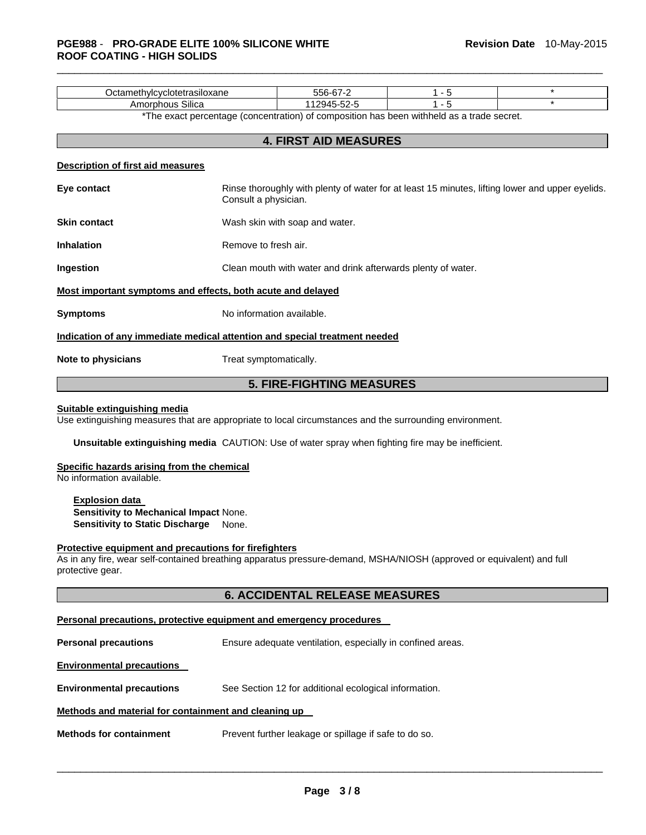|                                                                            | 556-67-2<br>$1 - 5$<br>Octamethylcyclotetrasiloxane |                                                                                                 |  | $\star$ |  |  |
|----------------------------------------------------------------------------|-----------------------------------------------------|-------------------------------------------------------------------------------------------------|--|---------|--|--|
| Amorphous Silica                                                           |                                                     | $\star$<br>$1 - 5$<br>112945-52-5                                                               |  |         |  |  |
|                                                                            |                                                     | *The exact percentage (concentration) of composition has been withheld as a trade secret.       |  |         |  |  |
|                                                                            |                                                     | <b>4. FIRST AID MEASURES</b>                                                                    |  |         |  |  |
|                                                                            |                                                     |                                                                                                 |  |         |  |  |
| Description of first aid measures                                          |                                                     |                                                                                                 |  |         |  |  |
| Eye contact                                                                | Consult a physician.                                | Rinse thoroughly with plenty of water for at least 15 minutes, lifting lower and upper eyelids. |  |         |  |  |
| <b>Skin contact</b>                                                        |                                                     | Wash skin with soap and water.                                                                  |  |         |  |  |
| <b>Inhalation</b>                                                          |                                                     | Remove to fresh air.                                                                            |  |         |  |  |
| Ingestion                                                                  |                                                     | Clean mouth with water and drink afterwards plenty of water.                                    |  |         |  |  |
| Most important symptoms and effects, both acute and delayed                |                                                     |                                                                                                 |  |         |  |  |
| <b>Symptoms</b>                                                            |                                                     | No information available.                                                                       |  |         |  |  |
| Indication of any immediate medical attention and special treatment needed |                                                     |                                                                                                 |  |         |  |  |
| Note to physicians                                                         | Treat symptomatically.                              |                                                                                                 |  |         |  |  |

 $\overline{\phantom{a}}$  , and the set of the set of the set of the set of the set of the set of the set of the set of the set of the set of the set of the set of the set of the set of the set of the set of the set of the set of the s

## **5. FIRE-FIGHTING MEASURES**

## **Suitable extinguishing media**

Use extinguishing measures that are appropriate to local circumstances and the surrounding environment.

**Unsuitable extinguishing media** CAUTION: Use of water spray when fighting fire may be inefficient.

#### **Specific hazards arising from the chemical**

No information available.

**Explosion data Sensitivity to Mechanical Impact** None. **Sensitivity to Static Discharge** None.

## **Protective equipment and precautions for firefighters**

As in any fire, wear self-contained breathing apparatus pressure-demand, MSHA/NIOSH (approved or equivalent) and full protective gear.

## **6. ACCIDENTAL RELEASE MEASURES**

## **Personal precautions, protective equipment and emergency procedures**

**Personal precautions Ensure adequate ventilation, especially in confined areas.** 

**Environmental precautions** 

**Environmental precautions** See Section 12 for additional ecological information.

## **Methods and material for containment and cleaning up**

**Methods for containment** Prevent further leakage or spillage if safe to do so.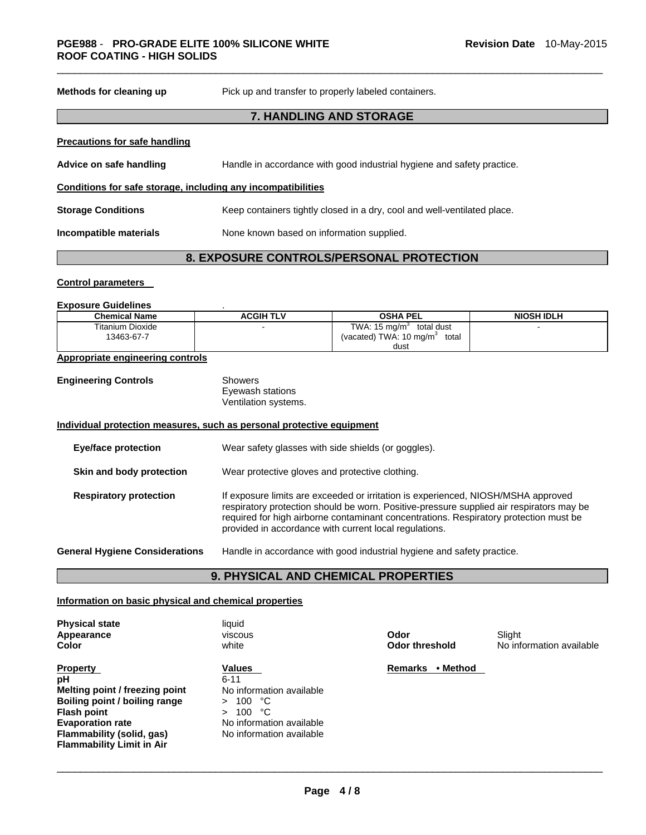| Methods for cleaning up                                      | Pick up and transfer to properly labeled containers.                     |  |  |
|--------------------------------------------------------------|--------------------------------------------------------------------------|--|--|
|                                                              | <b>7. HANDLING AND STORAGE</b>                                           |  |  |
| <b>Precautions for safe handling</b>                         |                                                                          |  |  |
| Advice on safe handling                                      | Handle in accordance with good industrial hygiene and safety practice.   |  |  |
| Conditions for safe storage, including any incompatibilities |                                                                          |  |  |
| <b>Storage Conditions</b>                                    | Keep containers tightly closed in a dry, cool and well-ventilated place. |  |  |
| Incompatible materials                                       | None known based on information supplied.                                |  |  |
|                                                              |                                                                          |  |  |

 $\overline{\phantom{a}}$  , and the set of the set of the set of the set of the set of the set of the set of the set of the set of the set of the set of the set of the set of the set of the set of the set of the set of the set of the s

# **8. EXPOSURE CONTROLS/PERSONAL PROTECTION**

#### **Control parameters**

## **Exposure Guidelines** .

| LADUSUIT UUREIIIITU            |                  |                                                                                        |                   |
|--------------------------------|------------------|----------------------------------------------------------------------------------------|-------------------|
| <b>Chemical Name</b>           | <b>ACGIH TLV</b> | <b>OSHA PEL</b>                                                                        | <b>NIOSH IDLH</b> |
| Titanium Dioxide<br>13463-67-7 |                  | TWA: $15 \text{ mg/m}^3$<br>total dust<br>(vacated) TWA: 10 mg/m <sup>3</sup><br>total |                   |
|                                |                  | dust                                                                                   |                   |

## **Appropriate engineering controls**

| <b>Engineering Controls</b> | Showers |
|-----------------------------|---------|
|                             | Eyewash |

wash stations Ventilation systems.

## **Individual protection measures, such as personal protective equipment**

| <b>Eye/face protection</b>            | Wear safety glasses with side shields (or goggles).                                                                                                                                                                                                                                                                              |
|---------------------------------------|----------------------------------------------------------------------------------------------------------------------------------------------------------------------------------------------------------------------------------------------------------------------------------------------------------------------------------|
| Skin and body protection              | Wear protective gloves and protective clothing.                                                                                                                                                                                                                                                                                  |
| <b>Respiratory protection</b>         | If exposure limits are exceeded or irritation is experienced, NIOSH/MSHA approved<br>respiratory protection should be worn. Positive-pressure supplied air respirators may be<br>required for high airborne contaminant concentrations. Respiratory protection must be<br>provided in accordance with current local regulations. |
| <b>General Hygiene Considerations</b> | Handle in accordance with good industrial hygiene and safety practice.                                                                                                                                                                                                                                                           |

# **9. PHYSICAL AND CHEMICAL PROPERTIES**

## **Information on basic physical and chemical properties**

| <b>Physical state</b><br>Appearance<br>Color                                                                                                                                                               | liauid<br>viscous<br>white                                                                                                                            | Odor<br><b>Odor threshold</b> | Slight<br>No information available |
|------------------------------------------------------------------------------------------------------------------------------------------------------------------------------------------------------------|-------------------------------------------------------------------------------------------------------------------------------------------------------|-------------------------------|------------------------------------|
| <b>Property</b><br>pH<br>Melting point / freezing point<br>Boiling point / boiling range<br><b>Flash point</b><br><b>Evaporation rate</b><br>Flammability (solid, gas)<br><b>Flammability Limit in Air</b> | Values<br>$6 - 11$<br>No information available<br>100<br>ಿ೧<br>$\geq$<br>ಿC<br>100.<br>$\geq$<br>No information available<br>No information available | • Method<br>Remarks           |                                    |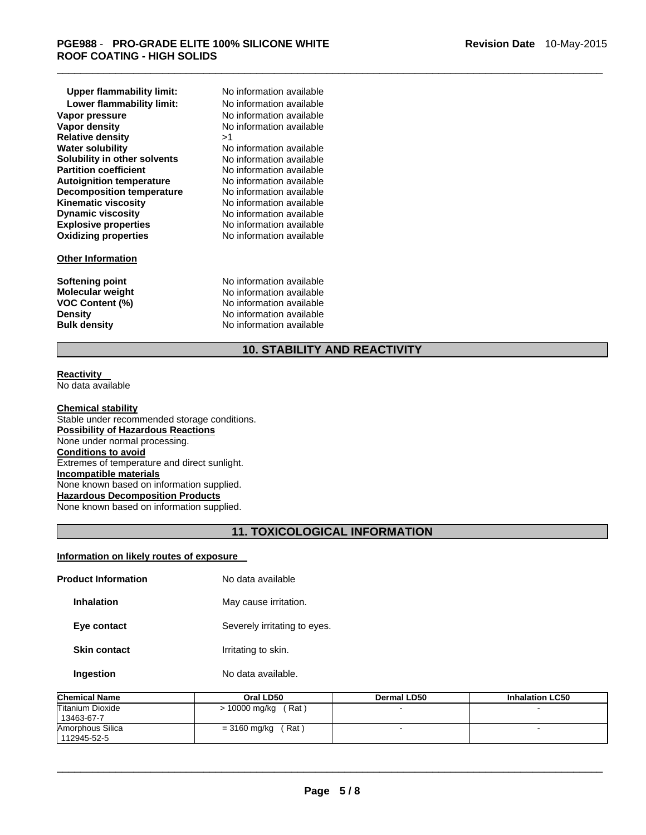| <b>Upper flammability limit:</b> | No |
|----------------------------------|----|
| Lower flammability limit:        | N٥ |
| Vapor pressure                   | Nο |
| Vapor density                    | No |
| <b>Relative density</b>          | >1 |
| <b>Water solubility</b>          | N٥ |
| Solubility in other solvents     | Nο |
| <b>Partition coefficient</b>     | N٥ |
| <b>Autoignition temperature</b>  | No |
| <b>Decomposition temperature</b> | N٥ |
| <b>Kinematic viscosity</b>       | No |
| <b>Dynamic viscosity</b>         | No |
| <b>Explosive properties</b>      | No |
| <b>Oxidizing properties</b>      | N٥ |
|                                  |    |

## **Other Information**

**No information available Lower flammability limit:** No information available **No information available No information available**<br>>1 **No information available** No information available **No information available No information available No information available No information available No information available Explosive properties** No information available **Oxidizing properties** No information available

**Softening point No information available**<br> **Molecular weight No information available Molecular weight <br>VOC Content (%) <br>No information available<br>Note information available VOC Content (%) No information available**<br> **Density No information available Density Density No information available**<br> **Bulk density No information available No information available** 

# **10. STABILITY AND REACTIVITY**

 $\overline{\phantom{a}}$  , and the set of the set of the set of the set of the set of the set of the set of the set of the set of the set of the set of the set of the set of the set of the set of the set of the set of the set of the s

#### **Reactivity**  No data available

**Chemical stability** Stable under recommended storage conditions. **Possibility of Hazardous Reactions** None under normal processing. **Conditions to avoid** Extremes of temperature and direct sunlight. **Incompatible materials** None known based on information supplied. **Hazardous Decomposition Products** None known based on information supplied.

## **11. TOXICOLOGICAL INFORMATION**

## **Information on likely routes of exposure**

| <b>Product Information</b> | No data available            |
|----------------------------|------------------------------|
| Inhalation                 | May cause irritation.        |
| Eye contact                | Severely irritating to eyes. |
| <b>Skin contact</b>        | Irritating to skin.          |
| Ingestion                  | No data available.           |
|                            |                              |

| <b>Chemical Name</b>                  | Oral LD50              | Dermal LD50 | <b>Inhalation LC50</b> |
|---------------------------------------|------------------------|-------------|------------------------|
| <b>Titanium Dioxide</b><br>13463-67-7 | (Rat)<br>> 10000 mg/kg |             |                        |
| Amorphous Silica<br>112945-52-5       | (Rat ˈ<br>= 3160 mg/kg |             |                        |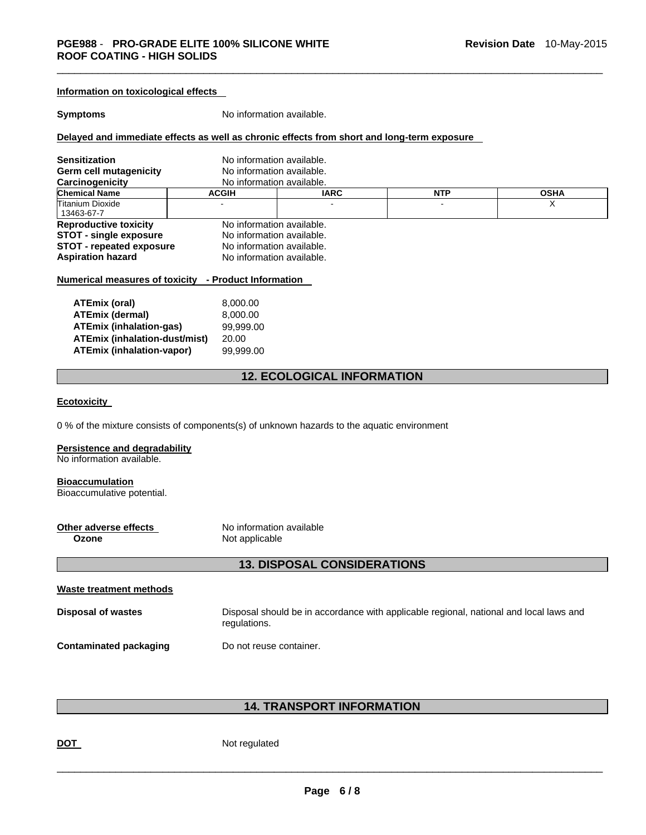| Information on toxicological effects                        |                           |                                                                                            |                                                                                        |             |
|-------------------------------------------------------------|---------------------------|--------------------------------------------------------------------------------------------|----------------------------------------------------------------------------------------|-------------|
| <b>Symptoms</b>                                             | No information available. |                                                                                            |                                                                                        |             |
|                                                             |                           | Delayed and immediate effects as well as chronic effects from short and long-term exposure |                                                                                        |             |
| <b>Sensitization</b>                                        | No information available. |                                                                                            |                                                                                        |             |
| Germ cell mutagenicity                                      | No information available. |                                                                                            |                                                                                        |             |
| Carcinogenicity<br><b>Chemical Name</b>                     | No information available. |                                                                                            |                                                                                        | <b>OSHA</b> |
| Titanium Dioxide                                            | <b>ACGIH</b>              | <b>IARC</b>                                                                                | <b>NTP</b>                                                                             | Х           |
| 13463-67-7                                                  |                           |                                                                                            |                                                                                        |             |
| <b>Reproductive toxicity</b>                                | No information available. |                                                                                            |                                                                                        |             |
| <b>STOT - single exposure</b>                               | No information available. |                                                                                            |                                                                                        |             |
| <b>STOT - repeated exposure</b>                             | No information available. |                                                                                            |                                                                                        |             |
| <b>Aspiration hazard</b>                                    | No information available. |                                                                                            |                                                                                        |             |
| <u>Numerical measures of toxicity - Product Information</u> |                           |                                                                                            |                                                                                        |             |
|                                                             |                           |                                                                                            |                                                                                        |             |
| <b>ATEmix (oral)</b><br><b>ATEmix (dermal)</b>              | 8,000.00<br>8,000.00      |                                                                                            |                                                                                        |             |
| <b>ATEmix (inhalation-gas)</b>                              | 99,999.00                 |                                                                                            |                                                                                        |             |
| <b>ATEmix (inhalation-dust/mist)</b>                        | 20.00                     |                                                                                            |                                                                                        |             |
| <b>ATEmix (inhalation-vapor)</b>                            | 99,999.00                 |                                                                                            |                                                                                        |             |
|                                                             |                           |                                                                                            |                                                                                        |             |
|                                                             |                           | <b>12. ECOLOGICAL INFORMATION</b>                                                          |                                                                                        |             |
| <b>Ecotoxicity</b>                                          |                           |                                                                                            |                                                                                        |             |
|                                                             |                           |                                                                                            |                                                                                        |             |
|                                                             |                           | 0 % of the mixture consists of components(s) of unknown hazards to the aquatic environment |                                                                                        |             |
| Persistence and degradability                               |                           |                                                                                            |                                                                                        |             |
| No information available.                                   |                           |                                                                                            |                                                                                        |             |
|                                                             |                           |                                                                                            |                                                                                        |             |
| <b>Bioaccumulation</b><br>Bioaccumulative potential.        |                           |                                                                                            |                                                                                        |             |
|                                                             |                           |                                                                                            |                                                                                        |             |
|                                                             |                           |                                                                                            |                                                                                        |             |
| Other adverse effects                                       | No information available  |                                                                                            |                                                                                        |             |
| Not applicable<br>Ozone                                     |                           |                                                                                            |                                                                                        |             |
|                                                             |                           |                                                                                            |                                                                                        |             |
|                                                             |                           | <b>13. DISPOSAL CONSIDERATIONS</b>                                                         |                                                                                        |             |
| <b>Waste treatment methods</b>                              |                           |                                                                                            |                                                                                        |             |
| <b>Disposal of wastes</b>                                   |                           |                                                                                            | Disposal should be in accordance with applicable regional, national and local laws and |             |
|                                                             | regulations.              |                                                                                            |                                                                                        |             |
|                                                             |                           |                                                                                            |                                                                                        |             |
| <b>Contaminated packaging</b>                               | Do not reuse container.   |                                                                                            |                                                                                        |             |
|                                                             |                           |                                                                                            |                                                                                        |             |

# **14. TRANSPORT INFORMATION**

**DOT** Not regulated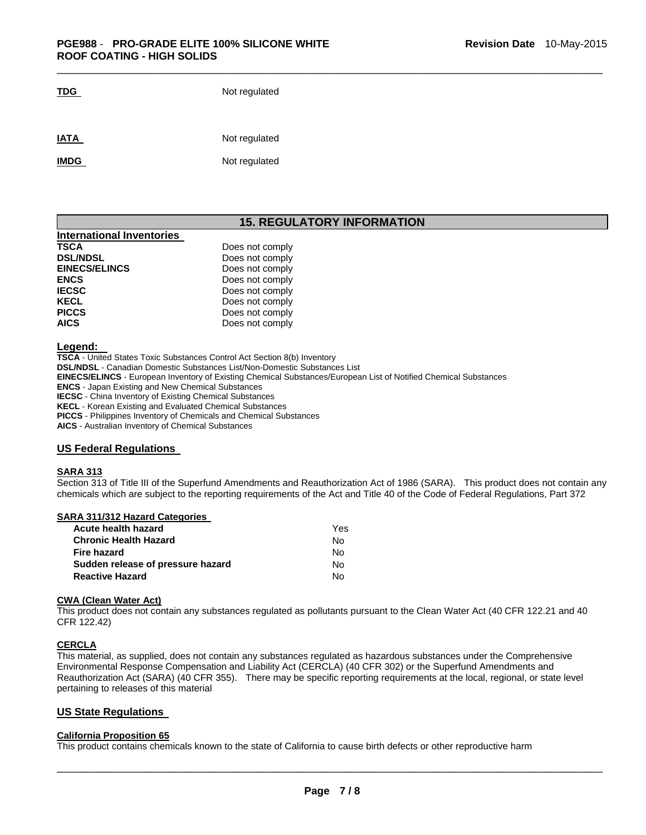| .           | <b>IVOLTGYUIDIGU</b> |  |  |
|-------------|----------------------|--|--|
| <b>IATA</b> | Not regulated        |  |  |
| <b>IMDG</b> | Not regulated        |  |  |

**TDG** Not regulated

## **15. REGULATORY INFORMATION**

 $\overline{\phantom{a}}$  , and the set of the set of the set of the set of the set of the set of the set of the set of the set of the set of the set of the set of the set of the set of the set of the set of the set of the set of the s

| Does not comply |
|-----------------|
| Does not comply |
| Does not comply |
| Does not comply |
| Does not comply |
| Does not comply |
| Does not comply |
| Does not comply |
|                 |

#### **Legend:**

**TSCA** - United States Toxic Substances Control Act Section 8(b) Inventory **DSL/NDSL** - Canadian Domestic Substances List/Non-Domestic Substances List **EINECS/ELINCS** - European Inventory of Existing Chemical Substances/European List of Notified Chemical Substances **ENCS** - Japan Existing and New Chemical Substances **IECSC** - China Inventory of Existing Chemical Substances **KECL** - Korean Existing and Evaluated Chemical Substances **PICCS** - Philippines Inventory of Chemicals and Chemical Substances

**AICS** - Australian Inventory of Chemical Substances

## **US Federal Regulations**

#### **SARA 313**

Section 313 of Title III of the Superfund Amendments and Reauthorization Act of 1986 (SARA). This product does not contain any chemicals which are subject to the reporting requirements of the Act and Title 40 of the Code of Federal Regulations, Part 372

## **SARA 311/312 Hazard Categories**

| Yes |
|-----|
| No. |
| N٥  |
| No. |
| N٥  |
|     |

#### **CWA (Clean Water Act)**

This product does not contain any substances regulated as pollutants pursuant to the Clean Water Act (40 CFR 122.21 and 40 CFR 122.42)

## **CERCLA**

This material, as supplied, does not contain any substances regulated as hazardous substances under the Comprehensive Environmental Response Compensation and Liability Act (CERCLA) (40 CFR 302) or the Superfund Amendments and Reauthorization Act (SARA) (40 CFR 355). There may be specific reporting requirements at the local, regional, or state level pertaining to releases of this material

## **US State Regulations**

## **California Proposition 65**

This product contains chemicals known to the state of California to cause birth defects or other reproductive harm